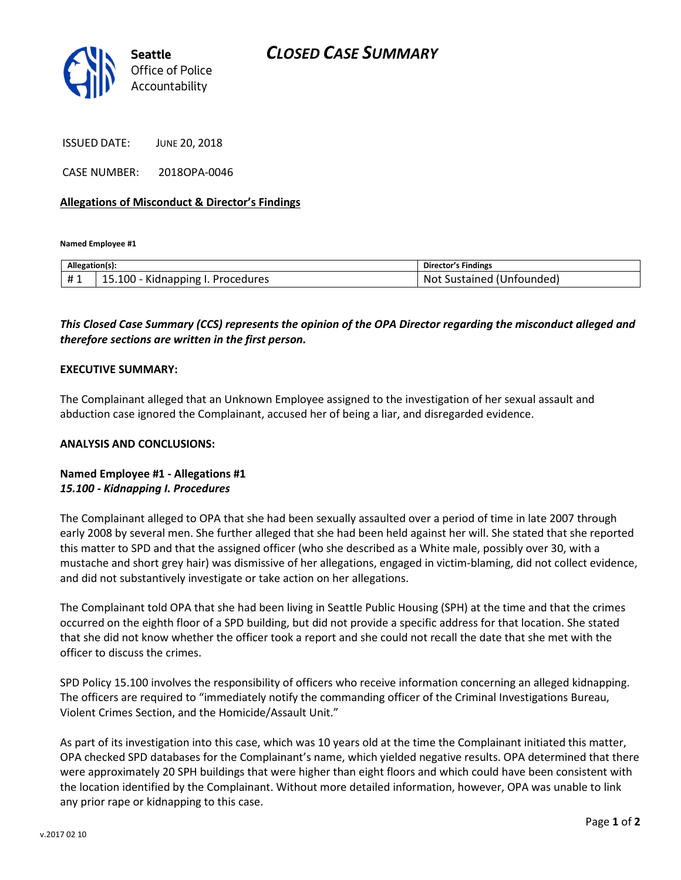

ISSUED DATE: JUNE 20, 2018

CASE NUMBER: 2018OPA-0046

#### Allegations of Misconduct & Director's Findings

Named Employee #1

| Allegation(s): |                                                           | Director's Findings          |
|----------------|-----------------------------------------------------------|------------------------------|
| .<br>ᅲᆚ        | .<br>$15.100 -$<br><b>Kidnapping</b><br>Procedures<br>. . | Not Sustained<br>(Unfounded) |

## This Closed Case Summary (CCS) represents the opinion of the OPA Director regarding the misconduct alleged and therefore sections are written in the first person.

#### EXECUTIVE SUMMARY:

The Complainant alleged that an Unknown Employee assigned to the investigation of her sexual assault and abduction case ignored the Complainant, accused her of being a liar, and disregarded evidence.

#### ANALYSIS AND CONCLUSIONS:

### Named Employee #1 - Allegations #1 15.100 - Kidnapping I. Procedures

The Complainant alleged to OPA that she had been sexually assaulted over a period of time in late 2007 through early 2008 by several men. She further alleged that she had been held against her will. She stated that she reported this matter to SPD and that the assigned officer (who she described as a White male, possibly over 30, with a mustache and short grey hair) was dismissive of her allegations, engaged in victim-blaming, did not collect evidence, and did not substantively investigate or take action on her allegations.

The Complainant told OPA that she had been living in Seattle Public Housing (SPH) at the time and that the crimes occurred on the eighth floor of a SPD building, but did not provide a specific address for that location. She stated that she did not know whether the officer took a report and she could not recall the date that she met with the officer to discuss the crimes.

SPD Policy 15.100 involves the responsibility of officers who receive information concerning an alleged kidnapping. The officers are required to "immediately notify the commanding officer of the Criminal Investigations Bureau, Violent Crimes Section, and the Homicide/Assault Unit."

As part of its investigation into this case, which was 10 years old at the time the Complainant initiated this matter, OPA checked SPD databases for the Complainant's name, which yielded negative results. OPA determined that there were approximately 20 SPH buildings that were higher than eight floors and which could have been consistent with the location identified by the Complainant. Without more detailed information, however, OPA was unable to link any prior rape or kidnapping to this case.